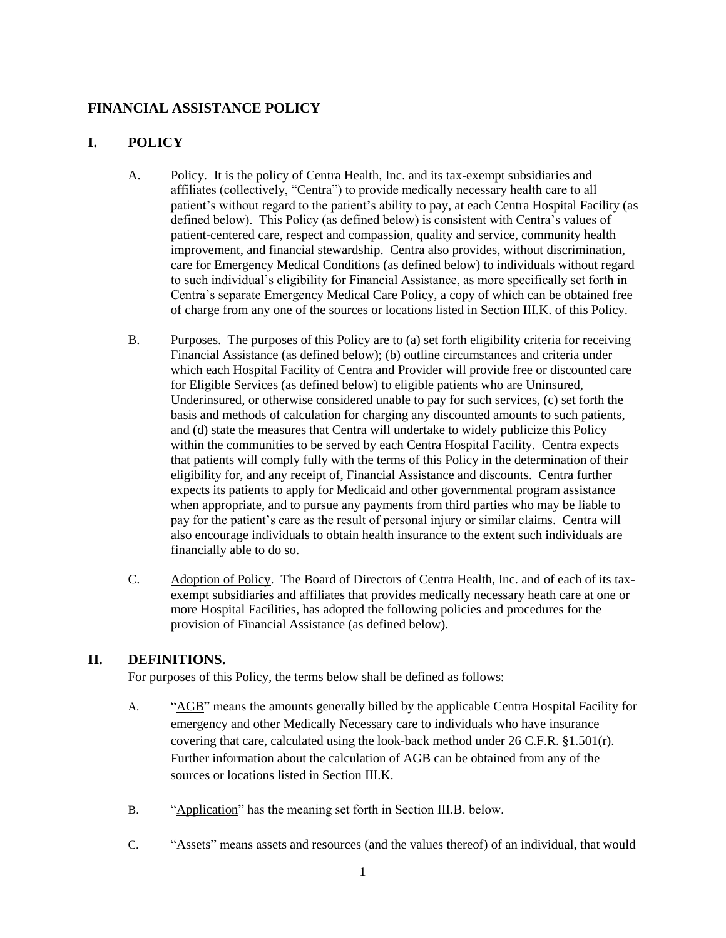## **FINANCIAL ASSISTANCE POLICY**

## **I. POLICY**

- A. Policy. It is the policy of Centra Health, Inc. and its tax-exempt subsidiaries and affiliates (collectively, "Centra") to provide medically necessary health care to all patient's without regard to the patient's ability to pay, at each Centra Hospital Facility (as defined below). This Policy (as defined below) is consistent with Centra's values of patient-centered care, respect and compassion, quality and service, community health improvement, and financial stewardship. Centra also provides, without discrimination, care for Emergency Medical Conditions (as defined below) to individuals without regard to such individual's eligibility for Financial Assistance, as more specifically set forth in Centra's separate Emergency Medical Care Policy, a copy of which can be obtained free of charge from any one of the sources or locations listed in Section III.K. of this Policy.
- B. Purposes. The purposes of this Policy are to (a) set forth eligibility criteria for receiving Financial Assistance (as defined below); (b) outline circumstances and criteria under which each Hospital Facility of Centra and Provider will provide free or discounted care for Eligible Services (as defined below) to eligible patients who are Uninsured, Underinsured, or otherwise considered unable to pay for such services, (c) set forth the basis and methods of calculation for charging any discounted amounts to such patients, and (d) state the measures that Centra will undertake to widely publicize this Policy within the communities to be served by each Centra Hospital Facility. Centra expects that patients will comply fully with the terms of this Policy in the determination of their eligibility for, and any receipt of, Financial Assistance and discounts. Centra further expects its patients to apply for Medicaid and other governmental program assistance when appropriate, and to pursue any payments from third parties who may be liable to pay for the patient's care as the result of personal injury or similar claims. Centra will also encourage individuals to obtain health insurance to the extent such individuals are financially able to do so.
- C. Adoption of Policy. The Board of Directors of Centra Health, Inc. and of each of its taxexempt subsidiaries and affiliates that provides medically necessary heath care at one or more Hospital Facilities, has adopted the following policies and procedures for the provision of Financial Assistance (as defined below).

## **II. DEFINITIONS.**

For purposes of this Policy, the terms below shall be defined as follows:

- A. "AGB" means the amounts generally billed by the applicable Centra Hospital Facility for emergency and other Medically Necessary care to individuals who have insurance covering that care, calculated using the look-back method under  $26$  C.F.R.  $\S 1.501(r)$ . Further information about the calculation of AGB can be obtained from any of the sources or locations listed in Section III.K.
- B. "Application" has the meaning set forth in Section III.B. below.
- C. "Assets" means assets and resources (and the values thereof) of an individual, that would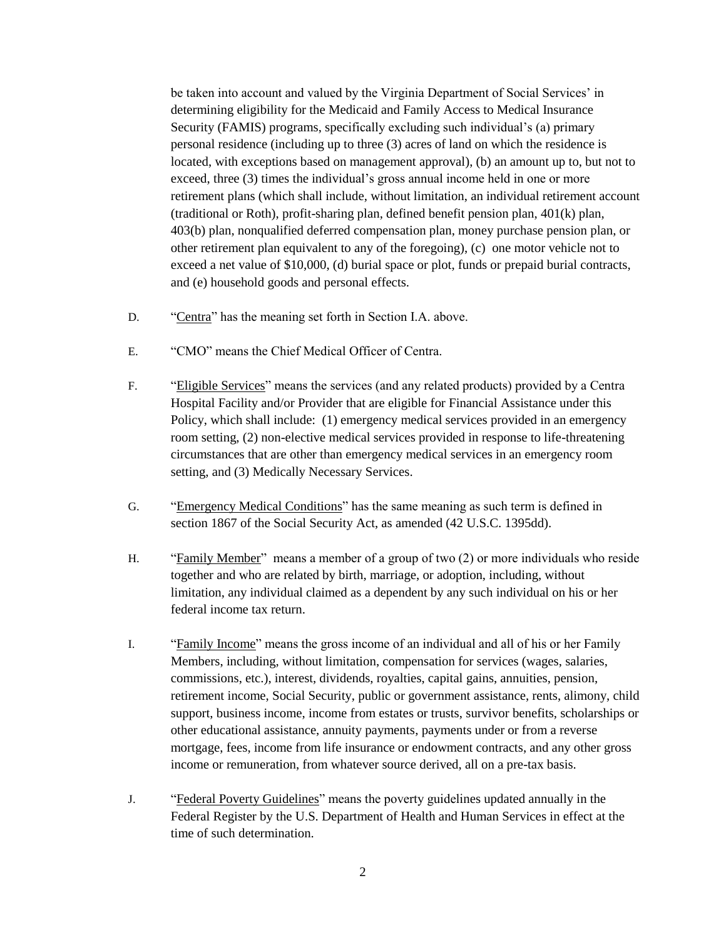be taken into account and valued by the Virginia Department of Social Services' in determining eligibility for the Medicaid and Family Access to Medical Insurance Security (FAMIS) programs, specifically excluding such individual's (a) primary personal residence (including up to three (3) acres of land on which the residence is located, with exceptions based on management approval), (b) an amount up to, but not to exceed, three (3) times the individual's gross annual income held in one or more retirement plans (which shall include, without limitation, an individual retirement account (traditional or Roth), profit-sharing plan, defined benefit pension plan, 401(k) plan, 403(b) plan, nonqualified deferred compensation plan, money purchase pension plan, or other retirement plan equivalent to any of the foregoing), (c) one motor vehicle not to exceed a net value of \$10,000, (d) burial space or plot, funds or prepaid burial contracts, and (e) household goods and personal effects.

- D. "Centra" has the meaning set forth in Section I.A. above.
- E. "CMO" means the Chief Medical Officer of Centra.
- F. "Eligible Services" means the services (and any related products) provided by a Centra Hospital Facility and/or Provider that are eligible for Financial Assistance under this Policy, which shall include: (1) emergency medical services provided in an emergency room setting, (2) non-elective medical services provided in response to life-threatening circumstances that are other than emergency medical services in an emergency room setting, and (3) Medically Necessary Services.
- G. "Emergency Medical Conditions" has the same meaning as such term is defined in section 1867 of the Social Security Act, as amended (42 U.S.C. 1395dd).
- H. "Family Member" means a member of a group of two (2) or more individuals who reside together and who are related by birth, marriage, or adoption, including, without limitation, any individual claimed as a dependent by any such individual on his or her federal income tax return.
- I. "Family Income" means the gross income of an individual and all of his or her Family Members, including, without limitation, compensation for services (wages, salaries, commissions, etc.), interest, dividends, royalties, capital gains, annuities, pension, retirement income, Social Security, public or government assistance, rents, alimony, child support, business income, income from estates or trusts, survivor benefits, scholarships or other educational assistance, annuity payments, payments under or from a reverse mortgage, fees, income from life insurance or endowment contracts, and any other gross income or remuneration, from whatever source derived, all on a pre-tax basis.
- J. "Federal Poverty Guidelines" means the poverty guidelines updated annually in the Federal Register by the U.S. Department of Health and Human Services in effect at the time of such determination.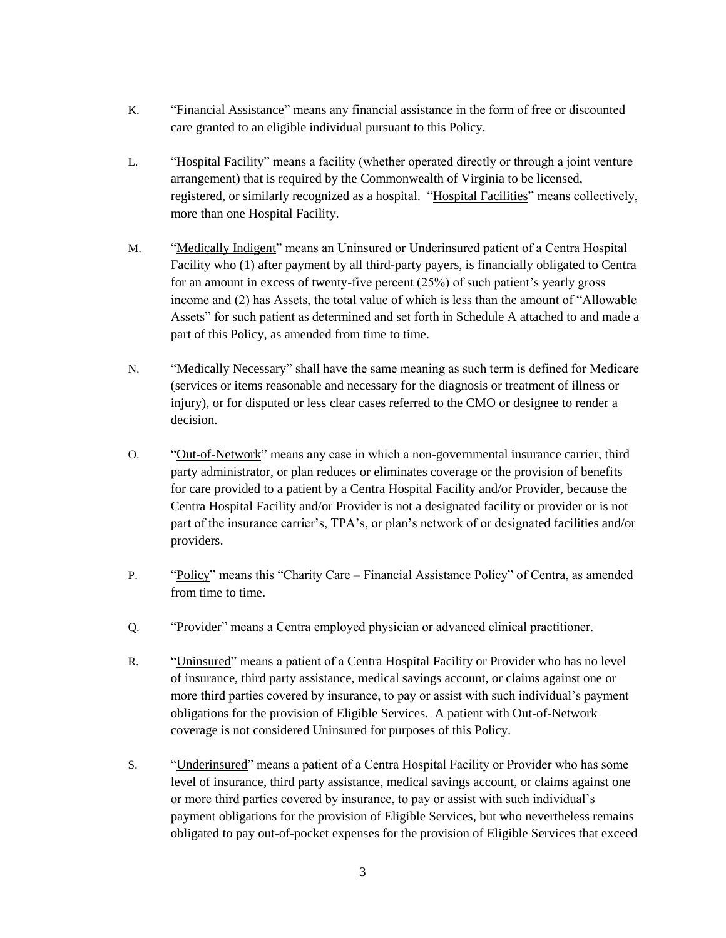- K. "Financial Assistance" means any financial assistance in the form of free or discounted care granted to an eligible individual pursuant to this Policy.
- L. "Hospital Facility" means a facility (whether operated directly or through a joint venture arrangement) that is required by the Commonwealth of Virginia to be licensed, registered, or similarly recognized as a hospital. "Hospital Facilities" means collectively, more than one Hospital Facility.
- M. "Medically Indigent" means an Uninsured or Underinsured patient of a Centra Hospital Facility who (1) after payment by all third-party payers, is financially obligated to Centra for an amount in excess of twenty-five percent (25%) of such patient's yearly gross income and (2) has Assets, the total value of which is less than the amount of "Allowable Assets" for such patient as determined and set forth in Schedule A attached to and made a part of this Policy, as amended from time to time.
- N. "Medically Necessary" shall have the same meaning as such term is defined for Medicare (services or items reasonable and necessary for the diagnosis or treatment of illness or injury), or for disputed or less clear cases referred to the CMO or designee to render a decision.
- O. "Out-of-Network" means any case in which a non-governmental insurance carrier, third party administrator, or plan reduces or eliminates coverage or the provision of benefits for care provided to a patient by a Centra Hospital Facility and/or Provider, because the Centra Hospital Facility and/or Provider is not a designated facility or provider or is not part of the insurance carrier's, TPA's, or plan's network of or designated facilities and/or providers.
- P. "Policy" means this "Charity Care Financial Assistance Policy" of Centra, as amended from time to time.
- Q. "Provider" means a Centra employed physician or advanced clinical practitioner.
- R. "Uninsured" means a patient of a Centra Hospital Facility or Provider who has no level of insurance, third party assistance, medical savings account, or claims against one or more third parties covered by insurance, to pay or assist with such individual's payment obligations for the provision of Eligible Services. A patient with Out-of-Network coverage is not considered Uninsured for purposes of this Policy.
- S. "Underinsured" means a patient of a Centra Hospital Facility or Provider who has some level of insurance, third party assistance, medical savings account, or claims against one or more third parties covered by insurance, to pay or assist with such individual's payment obligations for the provision of Eligible Services, but who nevertheless remains obligated to pay out-of-pocket expenses for the provision of Eligible Services that exceed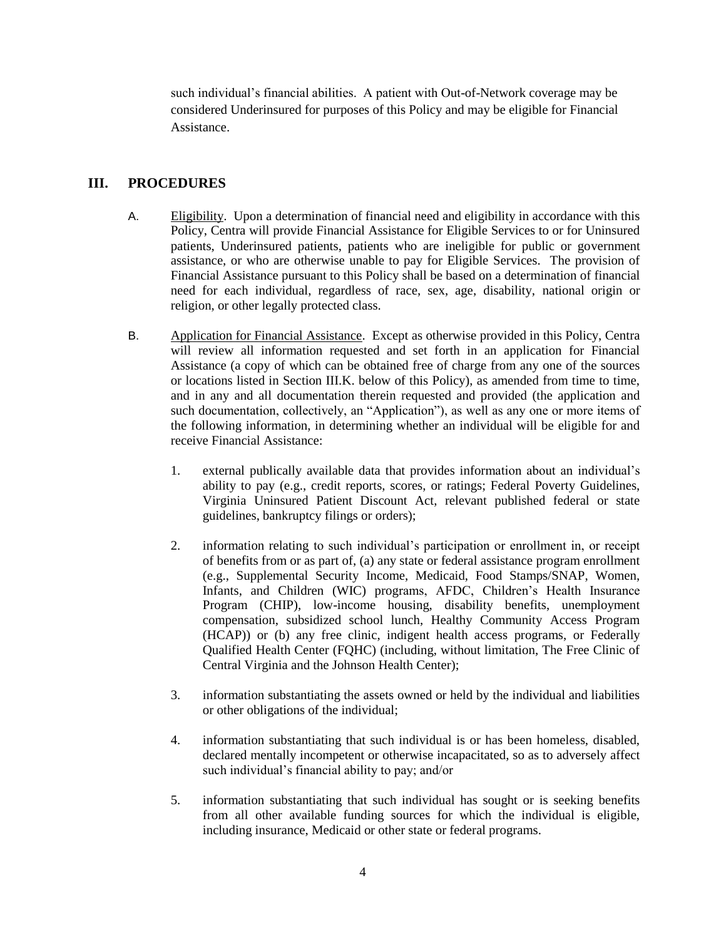such individual's financial abilities. A patient with Out-of-Network coverage may be considered Underinsured for purposes of this Policy and may be eligible for Financial Assistance.

## **III. PROCEDURES**

- A. Eligibility. Upon a determination of financial need and eligibility in accordance with this Policy, Centra will provide Financial Assistance for Eligible Services to or for Uninsured patients, Underinsured patients, patients who are ineligible for public or government assistance, or who are otherwise unable to pay for Eligible Services. The provision of Financial Assistance pursuant to this Policy shall be based on a determination of financial need for each individual, regardless of race, sex, age, disability, national origin or religion, or other legally protected class.
- B. Application for Financial Assistance. Except as otherwise provided in this Policy, Centra will review all information requested and set forth in an application for Financial Assistance (a copy of which can be obtained free of charge from any one of the sources or locations listed in Section III.K. below of this Policy), as amended from time to time, and in any and all documentation therein requested and provided (the application and such documentation, collectively, an "Application"), as well as any one or more items of the following information, in determining whether an individual will be eligible for and receive Financial Assistance:
	- 1. external publically available data that provides information about an individual's ability to pay (e.g., credit reports, scores, or ratings; Federal Poverty Guidelines, Virginia Uninsured Patient Discount Act, relevant published federal or state guidelines, bankruptcy filings or orders);
	- 2. information relating to such individual's participation or enrollment in, or receipt of benefits from or as part of, (a) any state or federal assistance program enrollment (e.g., Supplemental Security Income, Medicaid, Food Stamps/SNAP, Women, Infants, and Children (WIC) programs, AFDC, Children's Health Insurance Program (CHIP), low-income housing, disability benefits, unemployment compensation, subsidized school lunch, Healthy Community Access Program (HCAP)) or (b) any free clinic, indigent health access programs, or Federally Qualified Health Center (FQHC) (including, without limitation, The Free Clinic of Central Virginia and the Johnson Health Center);
	- 3. information substantiating the assets owned or held by the individual and liabilities or other obligations of the individual;
	- 4. information substantiating that such individual is or has been homeless, disabled, declared mentally incompetent or otherwise incapacitated, so as to adversely affect such individual's financial ability to pay; and/or
	- 5. information substantiating that such individual has sought or is seeking benefits from all other available funding sources for which the individual is eligible, including insurance, Medicaid or other state or federal programs.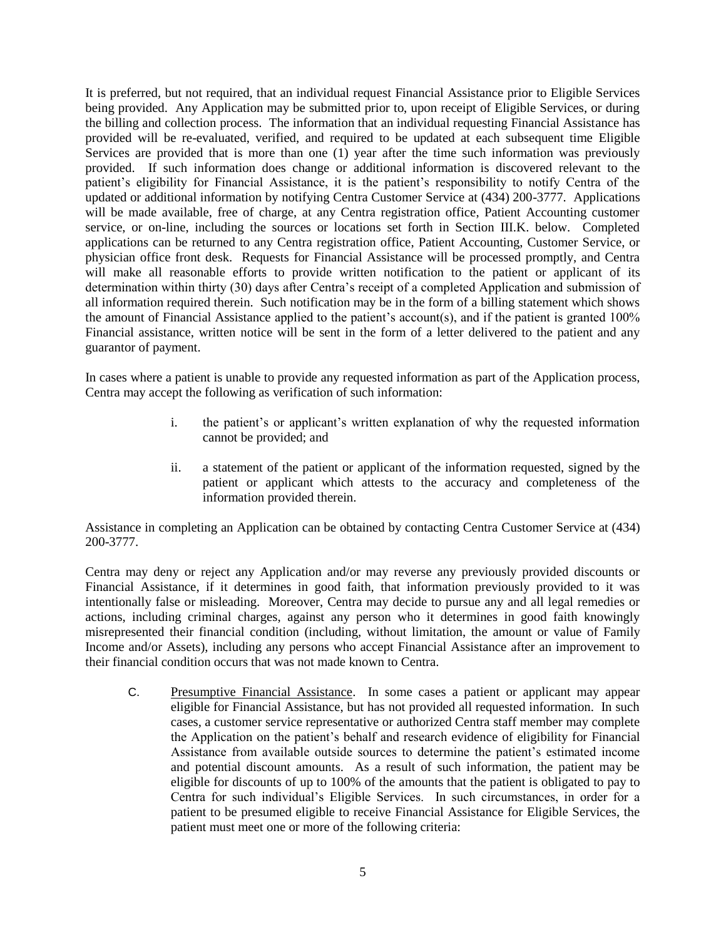It is preferred, but not required, that an individual request Financial Assistance prior to Eligible Services being provided. Any Application may be submitted prior to, upon receipt of Eligible Services, or during the billing and collection process. The information that an individual requesting Financial Assistance has provided will be re-evaluated, verified, and required to be updated at each subsequent time Eligible Services are provided that is more than one (1) year after the time such information was previously provided. If such information does change or additional information is discovered relevant to the patient's eligibility for Financial Assistance, it is the patient's responsibility to notify Centra of the updated or additional information by notifying Centra Customer Service at (434) 200-3777. Applications will be made available, free of charge, at any Centra registration office, Patient Accounting customer service, or on-line, including the sources or locations set forth in Section III.K. below. Completed applications can be returned to any Centra registration office, Patient Accounting, Customer Service, or physician office front desk. Requests for Financial Assistance will be processed promptly, and Centra will make all reasonable efforts to provide written notification to the patient or applicant of its determination within thirty (30) days after Centra's receipt of a completed Application and submission of all information required therein. Such notification may be in the form of a billing statement which shows the amount of Financial Assistance applied to the patient's account(s), and if the patient is granted 100% Financial assistance, written notice will be sent in the form of a letter delivered to the patient and any guarantor of payment.

In cases where a patient is unable to provide any requested information as part of the Application process, Centra may accept the following as verification of such information:

- i. the patient's or applicant's written explanation of why the requested information cannot be provided; and
- ii. a statement of the patient or applicant of the information requested, signed by the patient or applicant which attests to the accuracy and completeness of the information provided therein.

Assistance in completing an Application can be obtained by contacting Centra Customer Service at (434) 200-3777.

Centra may deny or reject any Application and/or may reverse any previously provided discounts or Financial Assistance, if it determines in good faith, that information previously provided to it was intentionally false or misleading. Moreover, Centra may decide to pursue any and all legal remedies or actions, including criminal charges, against any person who it determines in good faith knowingly misrepresented their financial condition (including, without limitation, the amount or value of Family Income and/or Assets), including any persons who accept Financial Assistance after an improvement to their financial condition occurs that was not made known to Centra.

C. Presumptive Financial Assistance. In some cases a patient or applicant may appear eligible for Financial Assistance, but has not provided all requested information. In such cases, a customer service representative or authorized Centra staff member may complete the Application on the patient's behalf and research evidence of eligibility for Financial Assistance from available outside sources to determine the patient's estimated income and potential discount amounts. As a result of such information, the patient may be eligible for discounts of up to 100% of the amounts that the patient is obligated to pay to Centra for such individual's Eligible Services. In such circumstances, in order for a patient to be presumed eligible to receive Financial Assistance for Eligible Services, the patient must meet one or more of the following criteria: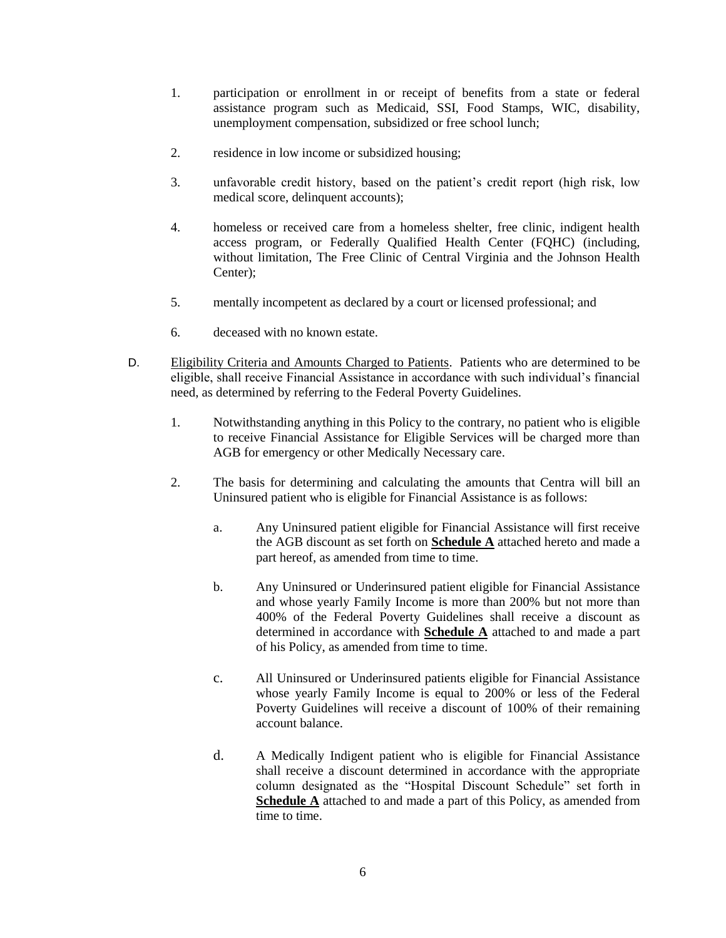- 1. participation or enrollment in or receipt of benefits from a state or federal assistance program such as Medicaid, SSI, Food Stamps, WIC, disability, unemployment compensation, subsidized or free school lunch;
- 2. residence in low income or subsidized housing;
- 3. unfavorable credit history, based on the patient's credit report (high risk, low medical score, delinquent accounts);
- 4. homeless or received care from a homeless shelter, free clinic, indigent health access program, or Federally Qualified Health Center (FQHC) (including, without limitation, The Free Clinic of Central Virginia and the Johnson Health Center);
- 5. mentally incompetent as declared by a court or licensed professional; and
- 6. deceased with no known estate.
- D. Eligibility Criteria and Amounts Charged to Patients. Patients who are determined to be eligible, shall receive Financial Assistance in accordance with such individual's financial need, as determined by referring to the Federal Poverty Guidelines.
	- 1. Notwithstanding anything in this Policy to the contrary, no patient who is eligible to receive Financial Assistance for Eligible Services will be charged more than AGB for emergency or other Medically Necessary care.
	- 2. The basis for determining and calculating the amounts that Centra will bill an Uninsured patient who is eligible for Financial Assistance is as follows:
		- a. Any Uninsured patient eligible for Financial Assistance will first receive the AGB discount as set forth on **Schedule A** attached hereto and made a part hereof, as amended from time to time.
		- b. Any Uninsured or Underinsured patient eligible for Financial Assistance and whose yearly Family Income is more than 200% but not more than 400% of the Federal Poverty Guidelines shall receive a discount as determined in accordance with **Schedule A** attached to and made a part of his Policy, as amended from time to time.
		- c. All Uninsured or Underinsured patients eligible for Financial Assistance whose yearly Family Income is equal to 200% or less of the Federal Poverty Guidelines will receive a discount of 100% of their remaining account balance.
		- d. A Medically Indigent patient who is eligible for Financial Assistance shall receive a discount determined in accordance with the appropriate column designated as the "Hospital Discount Schedule" set forth in **Schedule A** attached to and made a part of this Policy, as amended from time to time.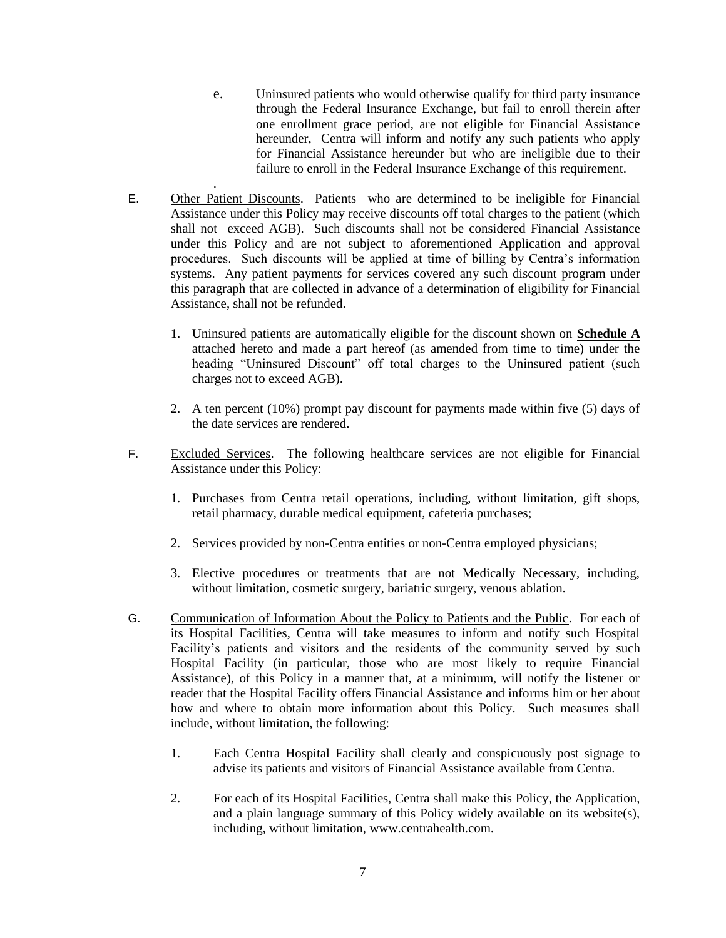- e. Uninsured patients who would otherwise qualify for third party insurance through the Federal Insurance Exchange, but fail to enroll therein after one enrollment grace period, are not eligible for Financial Assistance hereunder, Centra will inform and notify any such patients who apply for Financial Assistance hereunder but who are ineligible due to their failure to enroll in the Federal Insurance Exchange of this requirement.
- E. Other Patient Discounts. Patients who are determined to be ineligible for Financial Assistance under this Policy may receive discounts off total charges to the patient (which shall not exceed AGB). Such discounts shall not be considered Financial Assistance under this Policy and are not subject to aforementioned Application and approval procedures. Such discounts will be applied at time of billing by Centra's information systems. Any patient payments for services covered any such discount program under this paragraph that are collected in advance of a determination of eligibility for Financial Assistance, shall not be refunded.

.

- 1. Uninsured patients are automatically eligible for the discount shown on **Schedule A** attached hereto and made a part hereof (as amended from time to time) under the heading "Uninsured Discount" off total charges to the Uninsured patient (such charges not to exceed AGB).
- 2. A ten percent (10%) prompt pay discount for payments made within five (5) days of the date services are rendered.
- F. Excluded Services. The following healthcare services are not eligible for Financial Assistance under this Policy:
	- 1. Purchases from Centra retail operations, including, without limitation, gift shops, retail pharmacy, durable medical equipment, cafeteria purchases;
	- 2. Services provided by non-Centra entities or non-Centra employed physicians;
	- 3. Elective procedures or treatments that are not Medically Necessary, including, without limitation, cosmetic surgery, bariatric surgery, venous ablation.
- G. Communication of Information About the Policy to Patients and the Public. For each of its Hospital Facilities, Centra will take measures to inform and notify such Hospital Facility's patients and visitors and the residents of the community served by such Hospital Facility (in particular, those who are most likely to require Financial Assistance), of this Policy in a manner that, at a minimum, will notify the listener or reader that the Hospital Facility offers Financial Assistance and informs him or her about how and where to obtain more information about this Policy. Such measures shall include, without limitation, the following:
	- 1. Each Centra Hospital Facility shall clearly and conspicuously post signage to advise its patients and visitors of Financial Assistance available from Centra.
	- 2. For each of its Hospital Facilities, Centra shall make this Policy, the Application, and a plain language summary of this Policy widely available on its website(s), including, without limitation, www.centrahealth.com.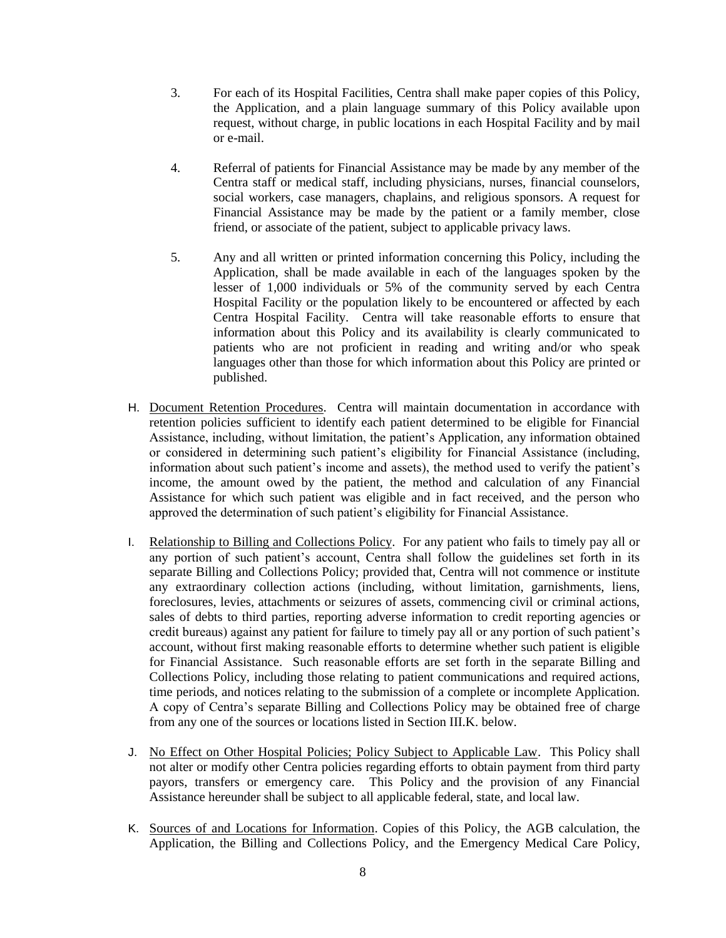- 3. For each of its Hospital Facilities, Centra shall make paper copies of this Policy, the Application, and a plain language summary of this Policy available upon request, without charge, in public locations in each Hospital Facility and by mail or e-mail.
- 4. Referral of patients for Financial Assistance may be made by any member of the Centra staff or medical staff, including physicians, nurses, financial counselors, social workers, case managers, chaplains, and religious sponsors. A request for Financial Assistance may be made by the patient or a family member, close friend, or associate of the patient, subject to applicable privacy laws.
- 5. Any and all written or printed information concerning this Policy, including the Application, shall be made available in each of the languages spoken by the lesser of 1,000 individuals or 5% of the community served by each Centra Hospital Facility or the population likely to be encountered or affected by each Centra Hospital Facility. Centra will take reasonable efforts to ensure that information about this Policy and its availability is clearly communicated to patients who are not proficient in reading and writing and/or who speak languages other than those for which information about this Policy are printed or published.
- H. Document Retention Procedures. Centra will maintain documentation in accordance with retention policies sufficient to identify each patient determined to be eligible for Financial Assistance, including, without limitation, the patient's Application, any information obtained or considered in determining such patient's eligibility for Financial Assistance (including, information about such patient's income and assets), the method used to verify the patient's income, the amount owed by the patient, the method and calculation of any Financial Assistance for which such patient was eligible and in fact received, and the person who approved the determination of such patient's eligibility for Financial Assistance.
- I. Relationship to Billing and Collections Policy. For any patient who fails to timely pay all or any portion of such patient's account, Centra shall follow the guidelines set forth in its separate Billing and Collections Policy; provided that, Centra will not commence or institute any extraordinary collection actions (including, without limitation, garnishments, liens, foreclosures, levies, attachments or seizures of assets, commencing civil or criminal actions, sales of debts to third parties, reporting adverse information to credit reporting agencies or credit bureaus) against any patient for failure to timely pay all or any portion of such patient's account, without first making reasonable efforts to determine whether such patient is eligible for Financial Assistance. Such reasonable efforts are set forth in the separate Billing and Collections Policy, including those relating to patient communications and required actions, time periods, and notices relating to the submission of a complete or incomplete Application. A copy of Centra's separate Billing and Collections Policy may be obtained free of charge from any one of the sources or locations listed in Section III.K. below.
- J. No Effect on Other Hospital Policies; Policy Subject to Applicable Law.This Policy shall not alter or modify other Centra policies regarding efforts to obtain payment from third party payors, transfers or emergency care. This Policy and the provision of any Financial Assistance hereunder shall be subject to all applicable federal, state, and local law.
- K. Sources of and Locations for Information. Copies of this Policy, the AGB calculation, the Application, the Billing and Collections Policy, and the Emergency Medical Care Policy,